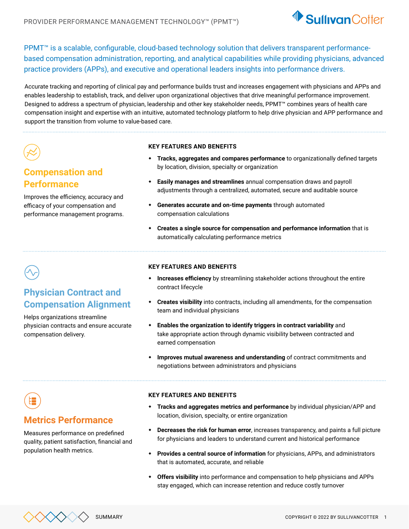

PPMT™ is a scalable, configurable, cloud-based technology solution that delivers transparent performancebased compensation administration, reporting, and analytical capabilities while providing physicians, advanced practice providers (APPs), and executive and operational leaders insights into performance drivers.

Accurate tracking and reporting of clinical pay and performance builds trust and increases engagement with physicians and APPs and enables leadership to establish, track, and deliver upon organizational objectives that drive meaningful performance improvement. Designed to address a spectrum of physician, leadership and other key stakeholder needs, PPMT™ combines years of health care compensation insight and expertise with an intuitive, automated technology platform to help drive physician and APP performance and support the transition from volume to value-based care.

## **Compensation and Performance**

Improves the efficiency, accuracy and efficacy of your compensation and performance management programs.

#### **KEY FEATURES AND BENEFITS**

- **Tracks, aggregates and compares performance** to organizationally defined targets by location, division, specialty or organization
- **Easily manages and streamlines** annual compensation draws and payroll adjustments through a centralized, automated, secure and auditable source
- **Generates accurate and on-time payments** through automated compensation calculations
- **Creates a single source for compensation and performance information** that is automatically calculating performance metrics

## **Physician Contract and Compensation Alignment**

Helps organizations streamline physician contracts and ensure accurate compensation delivery.

#### **KEY FEATURES AND BENEFITS**

- **Increases efficiency** by streamlining stakeholder actions throughout the entire contract lifecycle
- **Creates visibility** into contracts, including all amendments, for the compensation team and individual physicians
- **Enables the organization to identify triggers in contract variability** and take appropriate action through dynamic visibility between contracted and earned compensation
- **Improves mutual awareness and understanding** of contract commitments and negotiations between administrators and physicians

## **Metrics Performance**

Measures performance on predefined quality, patient satisfaction, financial and population health metrics.

#### **KEY FEATURES AND BENEFITS**

- **Tracks and aggregates metrics and performance** by individual physician/APP and location, division, specialty, or entire organization
- **Decreases the risk for human error**, increases transparency, and paints a full picture for physicians and leaders to understand current and historical performance
- **Provides a central source of information** for physicians, APPs, and administrators that is automated, accurate, and reliable
- **Offers visibility** into performance and compensation to help physicians and APPs stay engaged, which can increase retention and reduce costly turnover